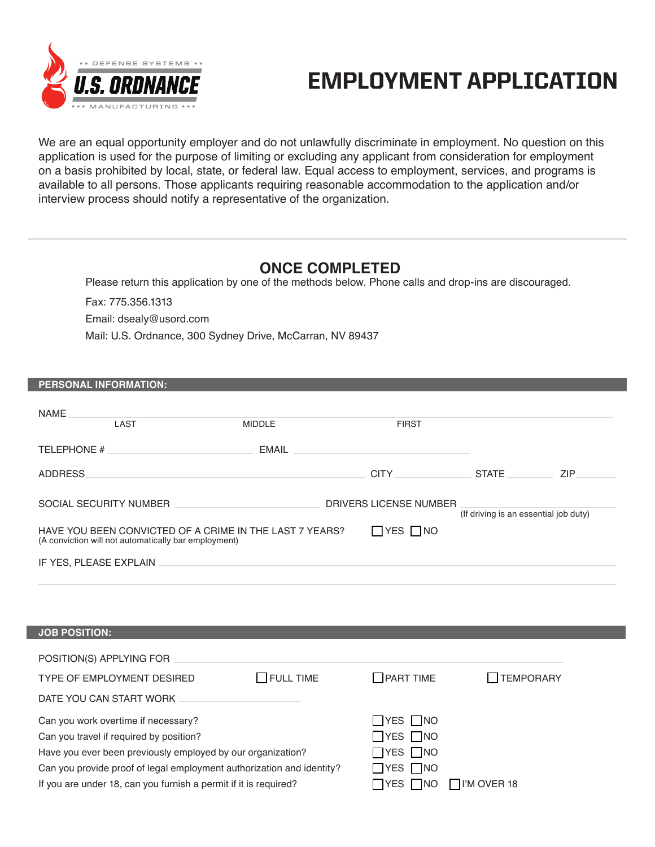

# EMPLOYMENT APPLICATION

We are an equal opportunity employer and do not unlawfully discriminate in employment. No question on this application is used for the purpose of limiting or excluding any applicant from consideration for employment on a basis prohibited by local, state, or federal law. Equal access to employment, services, and programs is available to all persons. Those applicants requiring reasonable accommodation to the application and/or interview process should notify a representative of the organization.

## **ONCE COMPLETED**

Please return this application by one of the methods below. Phone calls and drop-ins are discouraged. Fax: 775.356.1313 Email: dsealy@usord.com Mail: U.S. Ordnance, 300 Sydney Drive, McCarran, NV 89437

#### **PERSONAL INFORMATION:**

| <b>NAME</b>              | LAST                                                                                                                                                                                                                                | <b>MIDDLE</b>    | <b>FIRST</b>           |                                       |     |
|--------------------------|-------------------------------------------------------------------------------------------------------------------------------------------------------------------------------------------------------------------------------------|------------------|------------------------|---------------------------------------|-----|
| TELEPHONE #              |                                                                                                                                                                                                                                     | EMAIL            |                        |                                       |     |
| <b>ADDRESS</b>           | the control of the control of the control of the control of the control of the control of                                                                                                                                           |                  |                        | STATE                                 | ZIP |
|                          | SOCIAL SECURITY NUMBER <b>And All Accounts</b> and the second second second second second second second second second second second second second second second second second second second second second second second second seco |                  | DRIVERS LICENSE NUMBER | (If driving is an essential job duty) |     |
|                          | HAVE YOU BEEN CONVICTED OF A CRIME IN THE LAST 7 YEARS?<br>(A conviction will not automatically bar employment)                                                                                                                     |                  | $\Box$ YES $\Box$ NO   |                                       |     |
|                          |                                                                                                                                                                                                                                     |                  |                        |                                       |     |
|                          |                                                                                                                                                                                                                                     |                  |                        |                                       |     |
| <b>JOB POSITION:</b>     |                                                                                                                                                                                                                                     |                  |                        |                                       |     |
|                          |                                                                                                                                                                                                                                     |                  |                        |                                       |     |
| POSITION(S) APPLYING FOR |                                                                                                                                                                                                                                     |                  |                        |                                       |     |
|                          | TYPE OF EMPLOYMENT DESIRED                                                                                                                                                                                                          | $\Box$ FULL TIME | $\Box$ PART TIME       | <b>TEMPORARY</b>                      |     |
| DATE YOU CAN START WORK  |                                                                                                                                                                                                                                     |                  |                        |                                       |     |

Can you work overtime if necessary?  $\Box$  YES  $\Box$  NO Can you travel if required by position?  $\Box$  YES  $\Box$  NO Have you ever been previously employed by our organization?  $\Box$  YES  $\Box$  NO

Can you provide proof of legal employment authorization and identity?  $\Box$  YES  $\Box$  NO If you are under 18, can you furnish a permit if it is required?  $\Box YES \Box NO \Box I'M$  OVER 18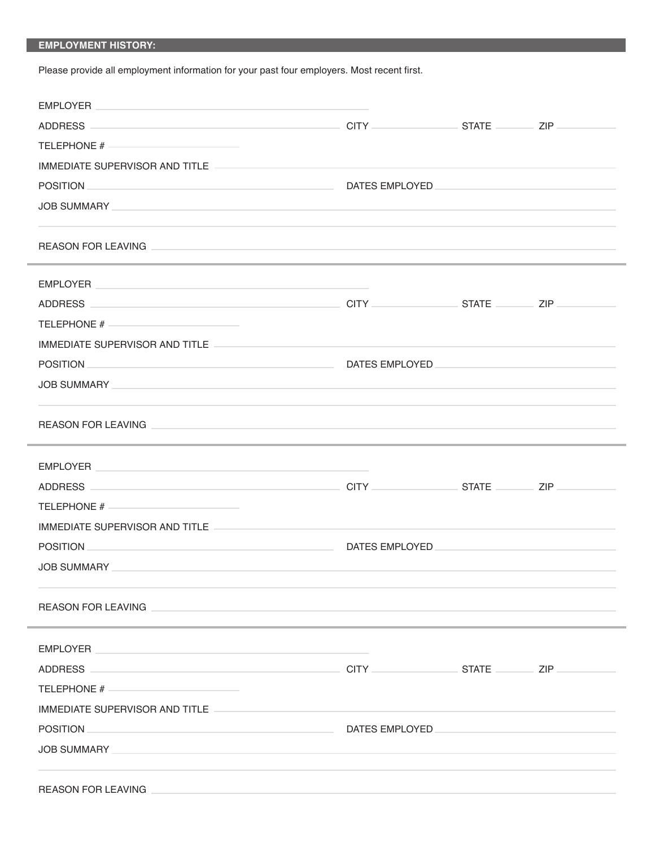## **EMPLOYMENT HISTORY:**

Please provide all employment information for your past four employers. Most recent first.

| <b>EMPLOYER</b>                                                                                                                                                                                                                      |                                                                                  |  |
|--------------------------------------------------------------------------------------------------------------------------------------------------------------------------------------------------------------------------------------|----------------------------------------------------------------------------------|--|
|                                                                                                                                                                                                                                      |                                                                                  |  |
| TELEPHONE #                                                                                                                                                                                                                          |                                                                                  |  |
| IMMEDIATE SUPERVISOR AND TITLE <b>AND ACCEPT AND ACCEPT AND ACCEPT ACCEPT</b>                                                                                                                                                        |                                                                                  |  |
|                                                                                                                                                                                                                                      |                                                                                  |  |
| JOB SUMMARY LATER AND RESERVED FOR A SERVED ON A SERVED ON A SERVED ON A SERVED ON A SERVED ON A SERVED ON A S                                                                                                                       |                                                                                  |  |
|                                                                                                                                                                                                                                      | ,我们也不能会在这里,我们的人们就会在这里,我们也不会在这里,我们也不会在这里,我们也不会在这里,我们也不会在这里,我们也不会在这里,我们也不会在这里,我们也不 |  |
| EMPLOYER <b>EMPLOYER</b>                                                                                                                                                                                                             |                                                                                  |  |
|                                                                                                                                                                                                                                      |                                                                                  |  |
| TELEPHONE #                                                                                                                                                                                                                          |                                                                                  |  |
| IMMEDIATE SUPERVISOR AND TITLE AND ARREST AND ARREST AND ARREST AND ARREST AND ARREST AND ARREST AND ARREST AND                                                                                                                      |                                                                                  |  |
|                                                                                                                                                                                                                                      |                                                                                  |  |
| JOB SUMMARY NAMES AND RESERVE TO A REPORT OF THE SERVE TO A REPORT OF THE SERVE TO A REPORT OF THE SERVE TO A STRUCK A STRUCK OF THE SERVE TO A STRUCK OF THE STRUCK OF THE STRUCK OF THE STRUCK OF THE STRUCK OF THE STRUCK O       |                                                                                  |  |
| REASON FOR LEAVING THE RESIDENCE OF THE REASON FOR LEAVING.                                                                                                                                                                          |                                                                                  |  |
| EMPLOYER EXPLOYER                                                                                                                                                                                                                    |                                                                                  |  |
|                                                                                                                                                                                                                                      |                                                                                  |  |
| TELEPHONE $#$                                                                                                                                                                                                                        |                                                                                  |  |
| IMMEDIATE SUPERVISOR AND TITLE <b>AND ACCOUNT ASSESSED AT A REPORT OF A REAL PROPERTY OF A REAL PROPERTY OF A REAL PROPERTY</b>                                                                                                      |                                                                                  |  |
|                                                                                                                                                                                                                                      |                                                                                  |  |
| JOB SUMMARY <b>AND A SERVERSE SERVERS</b>                                                                                                                                                                                            |                                                                                  |  |
| REASON FOR LEAVING THE RESIDENCE OF THE REASON FOR LEAVING.                                                                                                                                                                          |                                                                                  |  |
| EMPLOYER AND RESIDENCE IN THE RESIDENCE OF A STRUCK CONTROL CONTROL CONTROL CONTROL CONTROL CONTROL CONTROL CONTROL CONTROL CONTROL CONTROL CONTROL CONTROL CONTROL CONTROL CONTROL CONTROL CONTROL CONTROL CONTROL CONTROL CO       |                                                                                  |  |
|                                                                                                                                                                                                                                      |                                                                                  |  |
| TELEPHONE $#$                                                                                                                                                                                                                        |                                                                                  |  |
| IMMEDIATE SUPERVISOR AND TITLE AND TRIANGED AND TRIANGED AT A SERIES AND TRIANGED AT A STRING OF STRING AND T                                                                                                                        |                                                                                  |  |
|                                                                                                                                                                                                                                      |                                                                                  |  |
|                                                                                                                                                                                                                                      |                                                                                  |  |
| REASON FOR LEAVING <b>And All Andrew Contract Contract Contract Contract Contract Contract Contract Contract Contract Contract Contract Contract Contract Contract Contract Contract Contract Contract Contract Contract Contrac</b> |                                                                                  |  |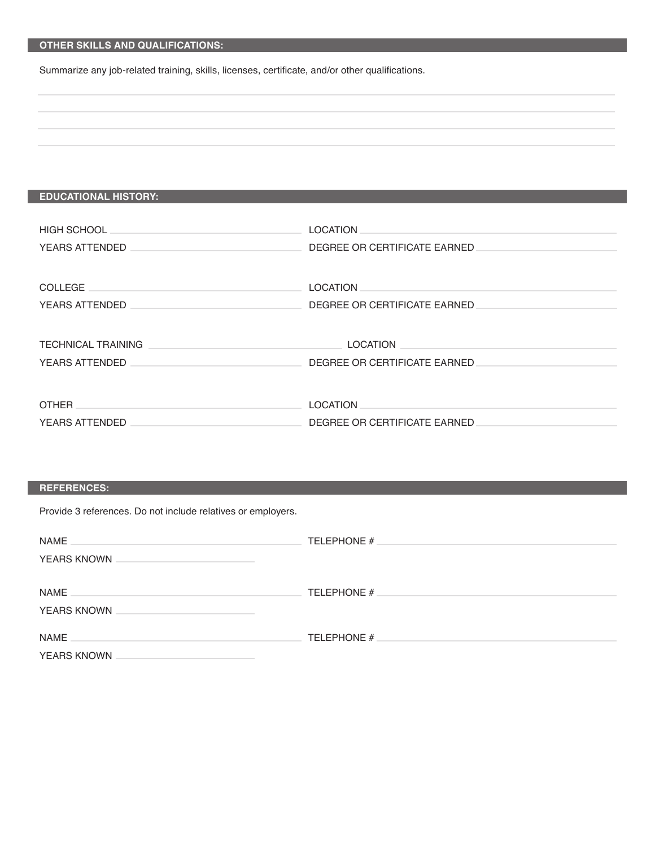## **OTHER SKILLS AND QUALIFICATIONS:**

Summarize any job-related training, skills, licenses, certificate, and/or other qualifications.

## **EDUCATIONAL HISTORY:**

| <b>HIGH SCHOOL</b>                                                                                      | LOCATION                                                                                                     |
|---------------------------------------------------------------------------------------------------------|--------------------------------------------------------------------------------------------------------------|
| YEARS ATTENDED<br>and the control of the control of the control of the control of the control of        | DEGREE OR CERTIFICATE EARNED                                                                                 |
|                                                                                                         |                                                                                                              |
| COLLEGE                                                                                                 | <b>LOCATION</b>                                                                                              |
| YEARS ATTENDED                                                                                          | DEGREE OR CERTIFICATE EARNED                                                                                 |
|                                                                                                         |                                                                                                              |
| <b>TECHNICAL TRAINING</b><br>the control of the control of the control of the control of the control of | <b>LOCATION</b>                                                                                              |
| the control of the control of the control of the control of the control of<br>YEARS ATTENDED            | DEGREE OR CERTIFICATE EARNED                                                                                 |
|                                                                                                         |                                                                                                              |
| OTHER                                                                                                   | <b>LOCATION</b><br>the control of the control of the control of the control of the control of the control of |
| YEARS ATTENDED                                                                                          | DEGREE OR CERTIFICATE EARNED                                                                                 |

### **REFERENCES:**

| Provide 3 references. Do not include relatives or employers. |  |  |
|--------------------------------------------------------------|--|--|
|--------------------------------------------------------------|--|--|

| <b>NAME</b><br>the control of the control of the control of the control of the control of the control of the control of the control of the control of the control of the control of the control of the control of the control of the control | TELEPHONE # |
|----------------------------------------------------------------------------------------------------------------------------------------------------------------------------------------------------------------------------------------------|-------------|
| <b>YEARS KNOWN</b><br>the control of the control of the control of the control of the control of                                                                                                                                             |             |
| <b>NAME</b><br>the control of the control of the control of the control of the control of the control of<br><b>YEARS KNOWN</b><br>the control of the control of the control of the control of the control of                                 | TELEPHONE # |
| <b>NAME</b><br>the control of the control of the control of the control of the control of the control of<br><b>YEARS KNOWN</b>                                                                                                               | TELEPHONE # |